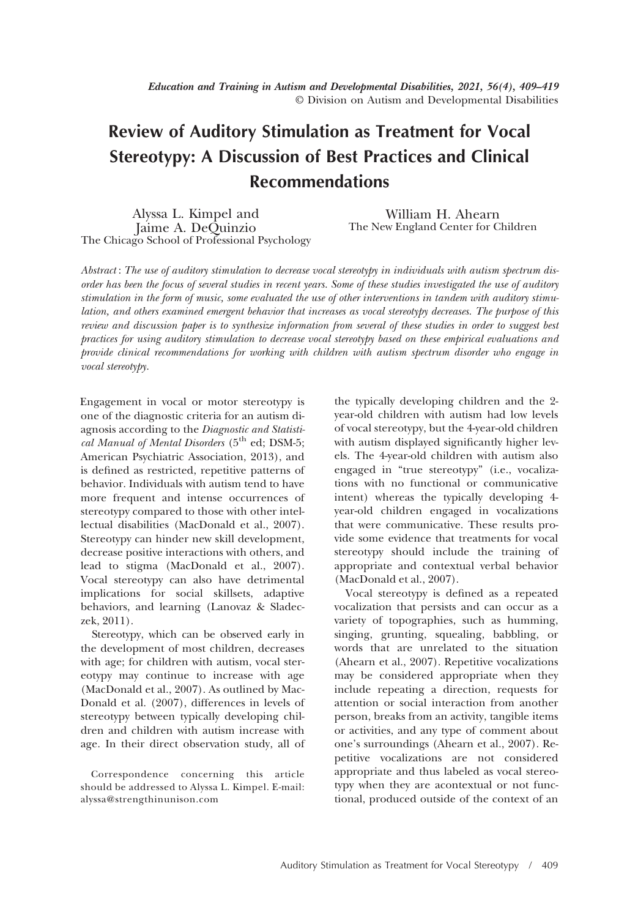# Review of Auditory Stimulation as Treatment for Vocal Stereotypy: A Discussion of Best Practices and Clinical Recommendations

Alyssa L. Kimpel and Jaime A. DeQuinzio The Chicago School of Professional Psychology

William H. Ahearn The New England Center for Children

Abstract : The use of auditory stimulation to decrease vocal stereotypy in individuals with autism spectrum disorder has been the focus of several studies in recent years. Some of these studies investigated the use of auditory stimulation in the form of music, some evaluated the use of other interventions in tandem with auditory stimulation, and others examined emergent behavior that increases as vocal stereotypy decreases. The purpose of this review and discussion paper is to synthesize information from several of these studies in order to suggest best practices for using auditory stimulation to decrease vocal stereotypy based on these empirical evaluations and provide clinical recommendations for working with children with autism spectrum disorder who engage in vocal stereotypy.

Engagement in vocal or motor stereotypy is one of the diagnostic criteria for an autism diagnosis according to the Diagnostic and Statistical Manual of Mental Disorders (5<sup>th</sup> ed; DSM-5; American Psychiatric Association, 2013), and is defined as restricted, repetitive patterns of behavior. Individuals with autism tend to have more frequent and intense occurrences of stereotypy compared to those with other intellectual disabilities (MacDonald et al., 2007). Stereotypy can hinder new skill development, decrease positive interactions with others, and lead to stigma (MacDonald et al., 2007). Vocal stereotypy can also have detrimental implications for social skillsets, adaptive behaviors, and learning (Lanovaz & Sladeczek, 2011).

Stereotypy, which can be observed early in the development of most children, decreases with age; for children with autism, vocal stereotypy may continue to increase with age (MacDonald et al., 2007). As outlined by Mac-Donald et al. (2007), differences in levels of stereotypy between typically developing children and children with autism increase with age. In their direct observation study, all of

the typically developing children and the 2 year-old children with autism had low levels of vocal stereotypy, but the 4-year-old children with autism displayed significantly higher levels. The 4-year-old children with autism also engaged in "true stereotypy" (i.e., vocalizations with no functional or communicative intent) whereas the typically developing 4 year-old children engaged in vocalizations that were communicative. These results provide some evidence that treatments for vocal stereotypy should include the training of appropriate and contextual verbal behavior (MacDonald et al., 2007).

Vocal stereotypy is defined as a repeated vocalization that persists and can occur as a variety of topographies, such as humming, singing, grunting, squealing, babbling, or words that are unrelated to the situation (Ahearn et al., 2007). Repetitive vocalizations may be considered appropriate when they include repeating a direction, requests for attention or social interaction from another person, breaks from an activity, tangible items or activities, and any type of comment about one's surroundings (Ahearn et al., 2007). Repetitive vocalizations are not considered appropriate and thus labeled as vocal stereotypy when they are acontextual or not functional, produced outside of the context of an

Correspondence concerning this article should be addressed to Alyssa L. Kimpel. E-mail: alyssa@strengthinunison.com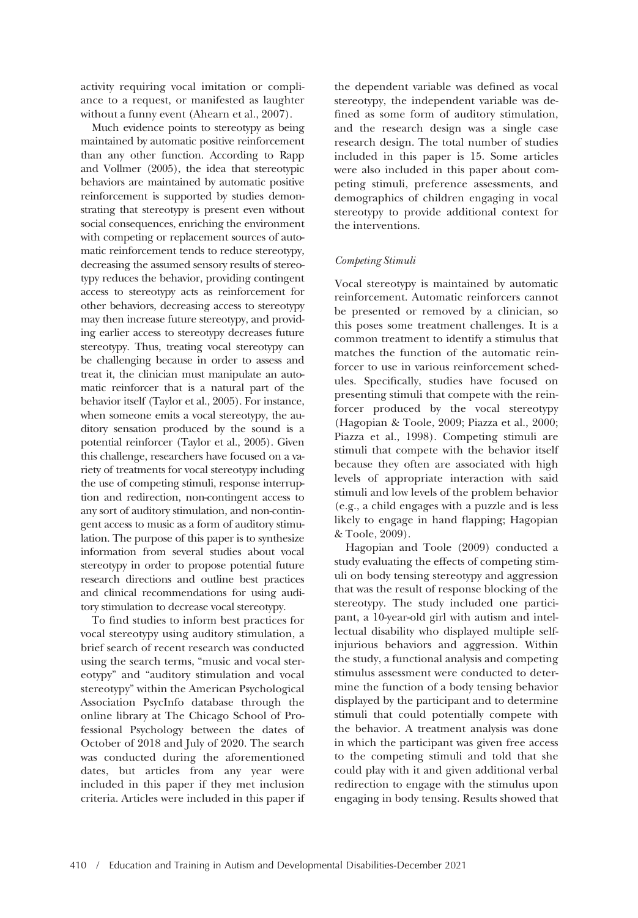activity requiring vocal imitation or compliance to a request, or manifested as laughter without a funny event (Ahearn et al., 2007).

Much evidence points to stereotypy as being maintained by automatic positive reinforcement than any other function. According to Rapp and Vollmer (2005), the idea that stereotypic behaviors are maintained by automatic positive reinforcement is supported by studies demonstrating that stereotypy is present even without social consequences, enriching the environment with competing or replacement sources of automatic reinforcement tends to reduce stereotypy, decreasing the assumed sensory results of stereotypy reduces the behavior, providing contingent access to stereotypy acts as reinforcement for other behaviors, decreasing access to stereotypy may then increase future stereotypy, and providing earlier access to stereotypy decreases future stereotypy. Thus, treating vocal stereotypy can be challenging because in order to assess and treat it, the clinician must manipulate an automatic reinforcer that is a natural part of the behavior itself (Taylor et al., 2005). For instance, when someone emits a vocal stereotypy, the auditory sensation produced by the sound is a potential reinforcer (Taylor et al., 2005). Given this challenge, researchers have focused on a variety of treatments for vocal stereotypy including the use of competing stimuli, response interruption and redirection, non-contingent access to any sort of auditory stimulation, and non-contingent access to music as a form of auditory stimulation. The purpose of this paper is to synthesize information from several studies about vocal stereotypy in order to propose potential future research directions and outline best practices and clinical recommendations for using auditory stimulation to decrease vocal stereotypy.

To find studies to inform best practices for vocal stereotypy using auditory stimulation, a brief search of recent research was conducted using the search terms, "music and vocal stereotypy" and "auditory stimulation and vocal stereotypy" within the American Psychological Association PsycInfo database through the online library at The Chicago School of Professional Psychology between the dates of October of 2018 and July of 2020. The search was conducted during the aforementioned dates, but articles from any year were included in this paper if they met inclusion criteria. Articles were included in this paper if the dependent variable was defined as vocal stereotypy, the independent variable was defined as some form of auditory stimulation, and the research design was a single case research design. The total number of studies included in this paper is 15. Some articles were also included in this paper about competing stimuli, preference assessments, and demographics of children engaging in vocal stereotypy to provide additional context for the interventions.

### Competing Stimuli

Vocal stereotypy is maintained by automatic reinforcement. Automatic reinforcers cannot be presented or removed by a clinician, so this poses some treatment challenges. It is a common treatment to identify a stimulus that matches the function of the automatic reinforcer to use in various reinforcement schedules. Specifically, studies have focused on presenting stimuli that compete with the reinforcer produced by the vocal stereotypy (Hagopian & Toole, 2009; Piazza et al., 2000; Piazza et al., 1998). Competing stimuli are stimuli that compete with the behavior itself because they often are associated with high levels of appropriate interaction with said stimuli and low levels of the problem behavior (e.g., a child engages with a puzzle and is less likely to engage in hand flapping; Hagopian & Toole, 2009).

Hagopian and Toole (2009) conducted a study evaluating the effects of competing stimuli on body tensing stereotypy and aggression that was the result of response blocking of the stereotypy. The study included one participant, a 10-year-old girl with autism and intellectual disability who displayed multiple selfinjurious behaviors and aggression. Within the study, a functional analysis and competing stimulus assessment were conducted to determine the function of a body tensing behavior displayed by the participant and to determine stimuli that could potentially compete with the behavior. A treatment analysis was done in which the participant was given free access to the competing stimuli and told that she could play with it and given additional verbal redirection to engage with the stimulus upon engaging in body tensing. Results showed that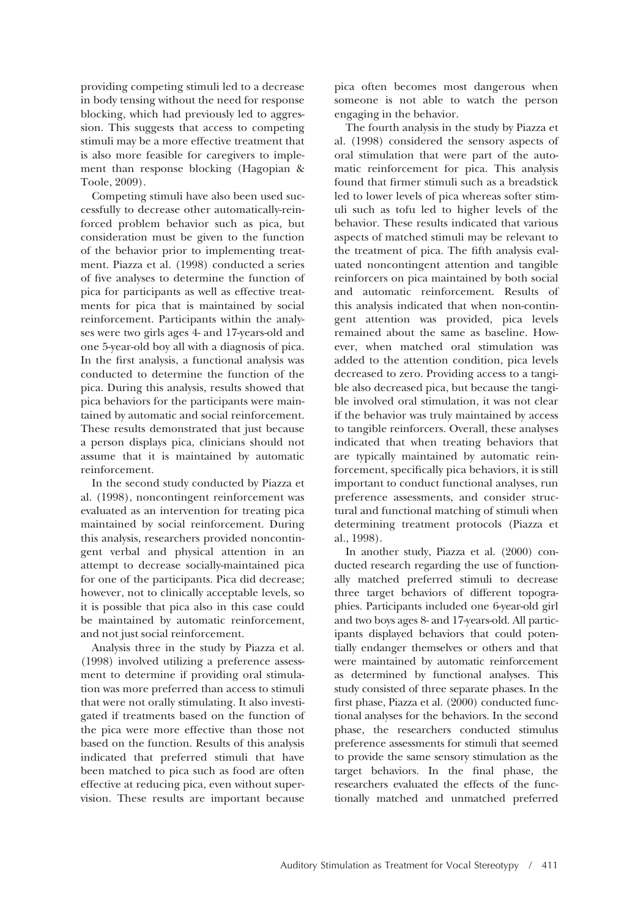providing competing stimuli led to a decrease in body tensing without the need for response blocking, which had previously led to aggression. This suggests that access to competing stimuli may be a more effective treatment that is also more feasible for caregivers to implement than response blocking (Hagopian & Toole, 2009).

Competing stimuli have also been used successfully to decrease other automatically-reinforced problem behavior such as pica, but consideration must be given to the function of the behavior prior to implementing treatment. Piazza et al. (1998) conducted a series of five analyses to determine the function of pica for participants as well as effective treatments for pica that is maintained by social reinforcement. Participants within the analyses were two girls ages 4- and 17-years-old and one 5-year-old boy all with a diagnosis of pica. In the first analysis, a functional analysis was conducted to determine the function of the pica. During this analysis, results showed that pica behaviors for the participants were maintained by automatic and social reinforcement. These results demonstrated that just because a person displays pica, clinicians should not assume that it is maintained by automatic reinforcement.

In the second study conducted by Piazza et al. (1998), noncontingent reinforcement was evaluated as an intervention for treating pica maintained by social reinforcement. During this analysis, researchers provided noncontingent verbal and physical attention in an attempt to decrease socially-maintained pica for one of the participants. Pica did decrease; however, not to clinically acceptable levels, so it is possible that pica also in this case could be maintained by automatic reinforcement, and not just social reinforcement.

Analysis three in the study by Piazza et al. (1998) involved utilizing a preference assessment to determine if providing oral stimulation was more preferred than access to stimuli that were not orally stimulating. It also investigated if treatments based on the function of the pica were more effective than those not based on the function. Results of this analysis indicated that preferred stimuli that have been matched to pica such as food are often effective at reducing pica, even without supervision. These results are important because

pica often becomes most dangerous when someone is not able to watch the person engaging in the behavior.

The fourth analysis in the study by Piazza et al. (1998) considered the sensory aspects of oral stimulation that were part of the automatic reinforcement for pica. This analysis found that firmer stimuli such as a breadstick led to lower levels of pica whereas softer stimuli such as tofu led to higher levels of the behavior. These results indicated that various aspects of matched stimuli may be relevant to the treatment of pica. The fifth analysis evaluated noncontingent attention and tangible reinforcers on pica maintained by both social and automatic reinforcement. Results of this analysis indicated that when non-contingent attention was provided, pica levels remained about the same as baseline. However, when matched oral stimulation was added to the attention condition, pica levels decreased to zero. Providing access to a tangible also decreased pica, but because the tangible involved oral stimulation, it was not clear if the behavior was truly maintained by access to tangible reinforcers. Overall, these analyses indicated that when treating behaviors that are typically maintained by automatic reinforcement, specifically pica behaviors, it is still important to conduct functional analyses, run preference assessments, and consider structural and functional matching of stimuli when determining treatment protocols (Piazza et al., 1998).

In another study, Piazza et al. (2000) conducted research regarding the use of functionally matched preferred stimuli to decrease three target behaviors of different topographies. Participants included one 6-year-old girl and two boys ages 8- and 17-years-old. All participants displayed behaviors that could potentially endanger themselves or others and that were maintained by automatic reinforcement as determined by functional analyses. This study consisted of three separate phases. In the first phase, Piazza et al. (2000) conducted functional analyses for the behaviors. In the second phase, the researchers conducted stimulus preference assessments for stimuli that seemed to provide the same sensory stimulation as the target behaviors. In the final phase, the researchers evaluated the effects of the functionally matched and unmatched preferred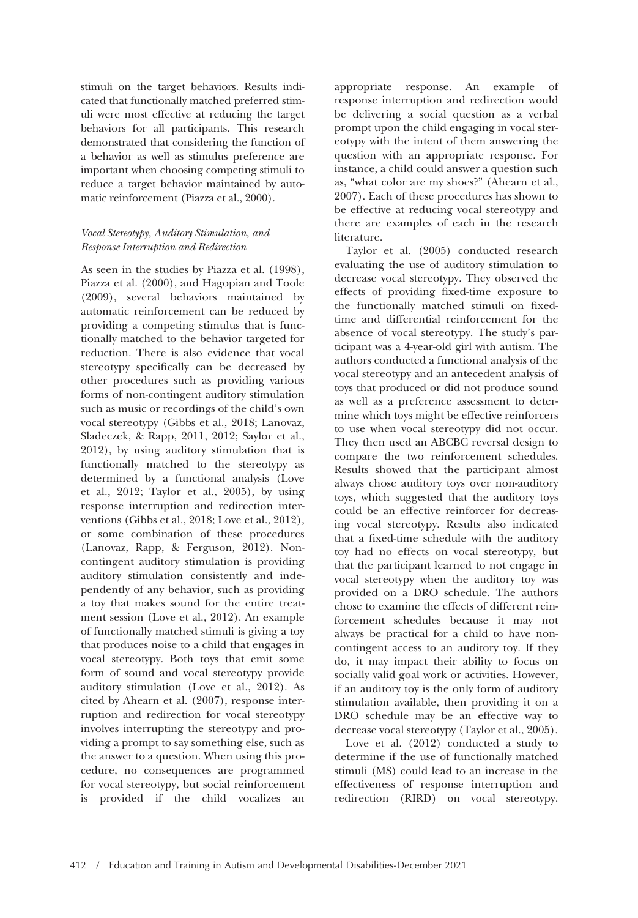stimuli on the target behaviors. Results indicated that functionally matched preferred stimuli were most effective at reducing the target behaviors for all participants. This research demonstrated that considering the function of a behavior as well as stimulus preference are important when choosing competing stimuli to reduce a target behavior maintained by automatic reinforcement (Piazza et al., 2000).

## Vocal Stereotypy, Auditory Stimulation, and Response Interruption and Redirection

As seen in the studies by Piazza et al. (1998), Piazza et al. (2000), and Hagopian and Toole (2009), several behaviors maintained by automatic reinforcement can be reduced by providing a competing stimulus that is functionally matched to the behavior targeted for reduction. There is also evidence that vocal stereotypy specifically can be decreased by other procedures such as providing various forms of non-contingent auditory stimulation such as music or recordings of the child's own vocal stereotypy (Gibbs et al., 2018; Lanovaz, Sladeczek, & Rapp, 2011, 2012; Saylor et al., 2012), by using auditory stimulation that is functionally matched to the stereotypy as determined by a functional analysis (Love et al., 2012; Taylor et al., 2005), by using response interruption and redirection interventions (Gibbs et al., 2018; Love et al., 2012), or some combination of these procedures (Lanovaz, Rapp, & Ferguson, 2012). Noncontingent auditory stimulation is providing auditory stimulation consistently and independently of any behavior, such as providing a toy that makes sound for the entire treatment session (Love et al., 2012). An example of functionally matched stimuli is giving a toy that produces noise to a child that engages in vocal stereotypy. Both toys that emit some form of sound and vocal stereotypy provide auditory stimulation (Love et al., 2012). As cited by Ahearn et al. (2007), response interruption and redirection for vocal stereotypy involves interrupting the stereotypy and providing a prompt to say something else, such as the answer to a question. When using this procedure, no consequences are programmed for vocal stereotypy, but social reinforcement is provided if the child vocalizes an

appropriate response. An example of response interruption and redirection would be delivering a social question as a verbal prompt upon the child engaging in vocal stereotypy with the intent of them answering the question with an appropriate response. For instance, a child could answer a question such as, "what color are my shoes?" (Ahearn et al., 2007). Each of these procedures has shown to be effective at reducing vocal stereotypy and there are examples of each in the research literature.

Taylor et al. (2005) conducted research evaluating the use of auditory stimulation to decrease vocal stereotypy. They observed the effects of providing fixed-time exposure to the functionally matched stimuli on fixedtime and differential reinforcement for the absence of vocal stereotypy. The study's participant was a 4-year-old girl with autism. The authors conducted a functional analysis of the vocal stereotypy and an antecedent analysis of toys that produced or did not produce sound as well as a preference assessment to determine which toys might be effective reinforcers to use when vocal stereotypy did not occur. They then used an ABCBC reversal design to compare the two reinforcement schedules. Results showed that the participant almost always chose auditory toys over non-auditory toys, which suggested that the auditory toys could be an effective reinforcer for decreasing vocal stereotypy. Results also indicated that a fixed-time schedule with the auditory toy had no effects on vocal stereotypy, but that the participant learned to not engage in vocal stereotypy when the auditory toy was provided on a DRO schedule. The authors chose to examine the effects of different reinforcement schedules because it may not always be practical for a child to have noncontingent access to an auditory toy. If they do, it may impact their ability to focus on socially valid goal work or activities. However, if an auditory toy is the only form of auditory stimulation available, then providing it on a DRO schedule may be an effective way to decrease vocal stereotypy (Taylor et al., 2005).

Love et al. (2012) conducted a study to determine if the use of functionally matched stimuli (MS) could lead to an increase in the effectiveness of response interruption and redirection (RIRD) on vocal stereotypy.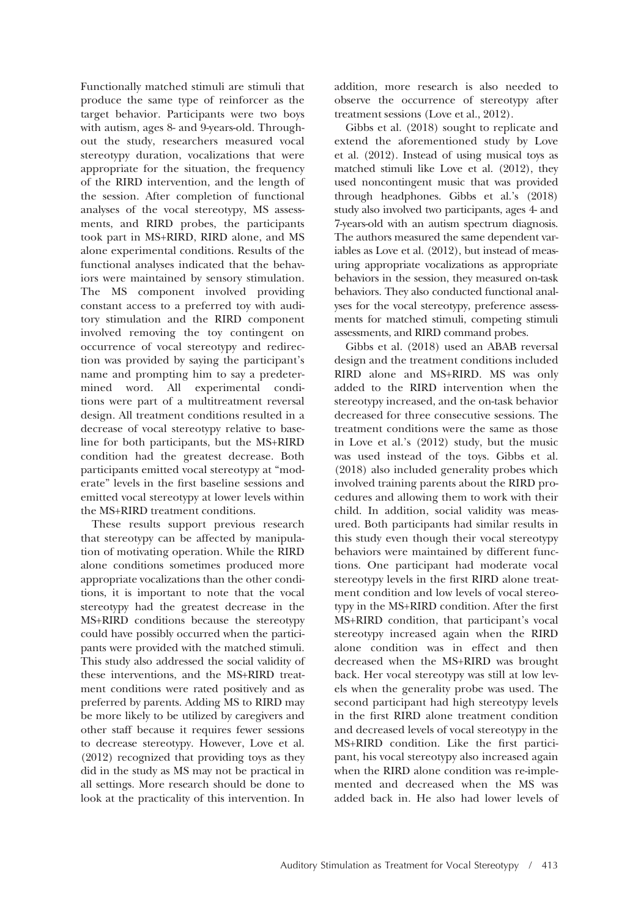Functionally matched stimuli are stimuli that produce the same type of reinforcer as the target behavior. Participants were two boys with autism, ages 8- and 9-years-old. Throughout the study, researchers measured vocal stereotypy duration, vocalizations that were appropriate for the situation, the frequency of the RIRD intervention, and the length of the session. After completion of functional analyses of the vocal stereotypy, MS assessments, and RIRD probes, the participants took part in MS+RIRD, RIRD alone, and MS alone experimental conditions. Results of the functional analyses indicated that the behaviors were maintained by sensory stimulation. The MS component involved providing constant access to a preferred toy with auditory stimulation and the RIRD component involved removing the toy contingent on occurrence of vocal stereotypy and redirection was provided by saying the participant's name and prompting him to say a predetermined word. All experimental conditions were part of a multitreatment reversal design. All treatment conditions resulted in a decrease of vocal stereotypy relative to baseline for both participants, but the MS+RIRD condition had the greatest decrease. Both participants emitted vocal stereotypy at "moderate" levels in the first baseline sessions and emitted vocal stereotypy at lower levels within the MS+RIRD treatment conditions.

These results support previous research that stereotypy can be affected by manipulation of motivating operation. While the RIRD alone conditions sometimes produced more appropriate vocalizations than the other conditions, it is important to note that the vocal stereotypy had the greatest decrease in the MS+RIRD conditions because the stereotypy could have possibly occurred when the participants were provided with the matched stimuli. This study also addressed the social validity of these interventions, and the MS+RIRD treatment conditions were rated positively and as preferred by parents. Adding MS to RIRD may be more likely to be utilized by caregivers and other staff because it requires fewer sessions to decrease stereotypy. However, Love et al. (2012) recognized that providing toys as they did in the study as MS may not be practical in all settings. More research should be done to look at the practicality of this intervention. In addition, more research is also needed to observe the occurrence of stereotypy after treatment sessions (Love et al., 2012).

Gibbs et al. (2018) sought to replicate and extend the aforementioned study by Love et al. (2012). Instead of using musical toys as matched stimuli like Love et al. (2012), they used noncontingent music that was provided through headphones. Gibbs et al.'s (2018) study also involved two participants, ages 4- and 7-years-old with an autism spectrum diagnosis. The authors measured the same dependent variables as Love et al. (2012), but instead of measuring appropriate vocalizations as appropriate behaviors in the session, they measured on-task behaviors. They also conducted functional analyses for the vocal stereotypy, preference assessments for matched stimuli, competing stimuli assessments, and RIRD command probes.

Gibbs et al. (2018) used an ABAB reversal design and the treatment conditions included RIRD alone and MS+RIRD. MS was only added to the RIRD intervention when the stereotypy increased, and the on-task behavior decreased for three consecutive sessions. The treatment conditions were the same as those in Love et al.'s (2012) study, but the music was used instead of the toys. Gibbs et al. (2018) also included generality probes which involved training parents about the RIRD procedures and allowing them to work with their child. In addition, social validity was measured. Both participants had similar results in this study even though their vocal stereotypy behaviors were maintained by different functions. One participant had moderate vocal stereotypy levels in the first RIRD alone treatment condition and low levels of vocal stereotypy in the MS+RIRD condition. After the first MS+RIRD condition, that participant's vocal stereotypy increased again when the RIRD alone condition was in effect and then decreased when the MS+RIRD was brought back. Her vocal stereotypy was still at low levels when the generality probe was used. The second participant had high stereotypy levels in the first RIRD alone treatment condition and decreased levels of vocal stereotypy in the MS+RIRD condition. Like the first participant, his vocal stereotypy also increased again when the RIRD alone condition was re-implemented and decreased when the MS was added back in. He also had lower levels of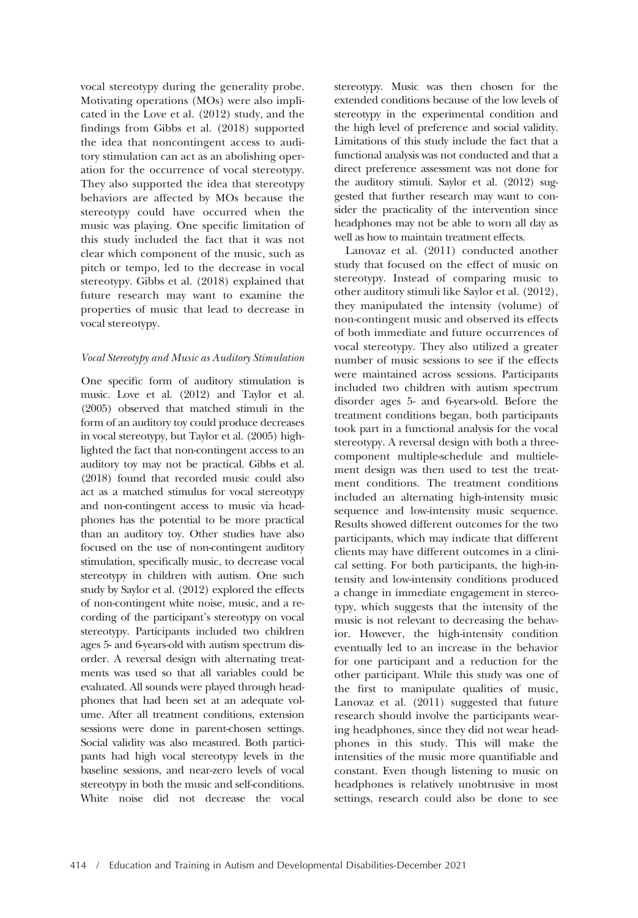vocal stereotypy during the generality probe. Motivating operations (MOs) were also implicated in the Love et al. (2012) study, and the findings from Gibbs et al. (2018) supported the idea that noncontingent access to auditory stimulation can act as an abolishing operation for the occurrence of vocal stereotypy. They also supported the idea that stereotypy behaviors are affected by MOs because the stereotypy could have occurred when the music was playing. One specific limitation of this study included the fact that it was not clear which component of the music, such as pitch or tempo, led to the decrease in vocal stereotypy. Gibbs et al. (2018) explained that future research may want to examine the properties of music that lead to decrease in vocal stereotypy.

#### Vocal Stereotypy and Music as Auditory Stimulation

One specific form of auditory stimulation is music. Love et al. (2012) and Taylor et al. (2005) observed that matched stimuli in the form of an auditory toy could produce decreases in vocal stereotypy, but Taylor et al. (2005) highlighted the fact that non-contingent access to an auditory toy may not be practical. Gibbs et al. (2018) found that recorded music could also act as a matched stimulus for vocal stereotypy and non-contingent access to music via headphones has the potential to be more practical than an auditory toy. Other studies have also focused on the use of non-contingent auditory stimulation, specifically music, to decrease vocal stereotypy in children with autism. One such study by Saylor et al. (2012) explored the effects of non-contingent white noise, music, and a recording of the participant's stereotypy on vocal stereotypy. Participants included two children ages 5- and 6-years-old with autism spectrum disorder. A reversal design with alternating treatments was used so that all variables could be evaluated. All sounds were played through headphones that had been set at an adequate volume. After all treatment conditions, extension sessions were done in parent-chosen settings. Social validity was also measured. Both participants had high vocal stereotypy levels in the baseline sessions, and near-zero levels of vocal stereotypy in both the music and self-conditions. White noise did not decrease the vocal

stereotypy. Music was then chosen for the extended conditions because of the low levels of stereotypy in the experimental condition and the high level of preference and social validity. Limitations of this study include the fact that a functional analysis was not conducted and that a direct preference assessment was not done for the auditory stimuli. Saylor et al. (2012) suggested that further research may want to consider the practicality of the intervention since headphones may not be able to worn all day as well as how to maintain treatment effects.

Lanovaz et al. (2011) conducted another study that focused on the effect of music on stereotypy. Instead of comparing music to other auditory stimuli like Saylor et al. (2012), they manipulated the intensity (volume) of non-contingent music and observed its effects of both immediate and future occurrences of vocal stereotypy. They also utilized a greater number of music sessions to see if the effects were maintained across sessions. Participants included two children with autism spectrum disorder ages 5- and 6-years-old. Before the treatment conditions began, both participants took part in a functional analysis for the vocal stereotypy. A reversal design with both a threecomponent multiple-schedule and multielement design was then used to test the treatment conditions. The treatment conditions included an alternating high-intensity music sequence and low-intensity music sequence. Results showed different outcomes for the two participants, which may indicate that different clients may have different outcomes in a clinical setting. For both participants, the high-intensity and low-intensity conditions produced a change in immediate engagement in stereotypy, which suggests that the intensity of the music is not relevant to decreasing the behavior. However, the high-intensity condition eventually led to an increase in the behavior for one participant and a reduction for the other participant. While this study was one of the first to manipulate qualities of music, Lanovaz et al. (2011) suggested that future research should involve the participants wearing headphones, since they did not wear headphones in this study. This will make the intensities of the music more quantifiable and constant. Even though listening to music on headphones is relatively unobtrusive in most settings, research could also be done to see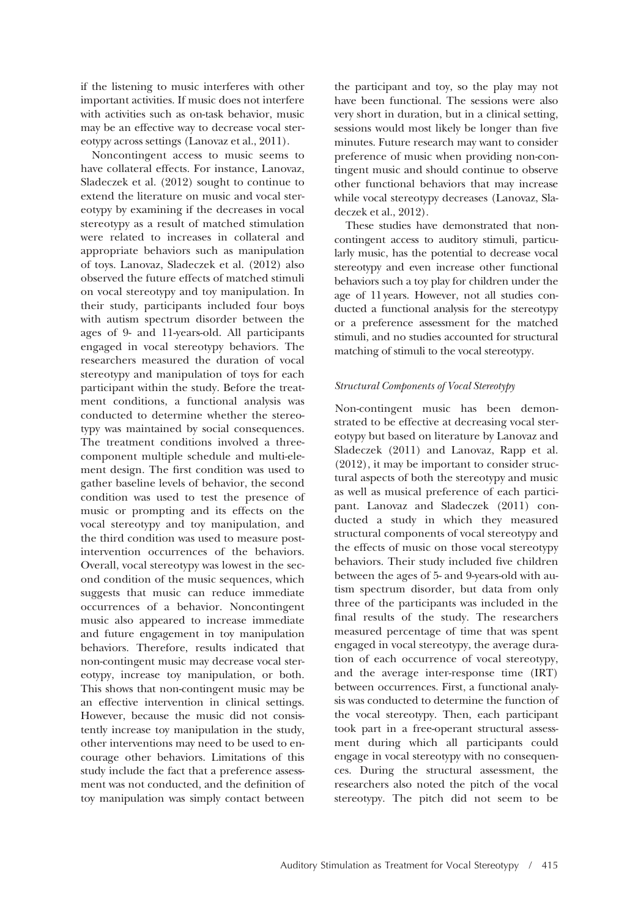if the listening to music interferes with other important activities. If music does not interfere with activities such as on-task behavior, music may be an effective way to decrease vocal stereotypy across settings (Lanovaz et al., 2011).

Noncontingent access to music seems to have collateral effects. For instance, Lanovaz, Sladeczek et al. (2012) sought to continue to extend the literature on music and vocal stereotypy by examining if the decreases in vocal stereotypy as a result of matched stimulation were related to increases in collateral and appropriate behaviors such as manipulation of toys. Lanovaz, Sladeczek et al. (2012) also observed the future effects of matched stimuli on vocal stereotypy and toy manipulation. In their study, participants included four boys with autism spectrum disorder between the ages of 9- and 11-years-old. All participants engaged in vocal stereotypy behaviors. The researchers measured the duration of vocal stereotypy and manipulation of toys for each participant within the study. Before the treatment conditions, a functional analysis was conducted to determine whether the stereotypy was maintained by social consequences. The treatment conditions involved a threecomponent multiple schedule and multi-element design. The first condition was used to gather baseline levels of behavior, the second condition was used to test the presence of music or prompting and its effects on the vocal stereotypy and toy manipulation, and the third condition was used to measure postintervention occurrences of the behaviors. Overall, vocal stereotypy was lowest in the second condition of the music sequences, which suggests that music can reduce immediate occurrences of a behavior. Noncontingent music also appeared to increase immediate and future engagement in toy manipulation behaviors. Therefore, results indicated that non-contingent music may decrease vocal stereotypy, increase toy manipulation, or both. This shows that non-contingent music may be an effective intervention in clinical settings. However, because the music did not consistently increase toy manipulation in the study, other interventions may need to be used to encourage other behaviors. Limitations of this study include the fact that a preference assessment was not conducted, and the definition of toy manipulation was simply contact between

the participant and toy, so the play may not have been functional. The sessions were also very short in duration, but in a clinical setting, sessions would most likely be longer than five minutes. Future research may want to consider preference of music when providing non-contingent music and should continue to observe other functional behaviors that may increase while vocal stereotypy decreases (Lanovaz, Sladeczek et al., 2012).

These studies have demonstrated that noncontingent access to auditory stimuli, particularly music, has the potential to decrease vocal stereotypy and even increase other functional behaviors such a toy play for children under the age of 11 years. However, not all studies conducted a functional analysis for the stereotypy or a preference assessment for the matched stimuli, and no studies accounted for structural matching of stimuli to the vocal stereotypy.

### Structural Components of Vocal Stereotypy

Non-contingent music has been demonstrated to be effective at decreasing vocal stereotypy but based on literature by Lanovaz and Sladeczek (2011) and Lanovaz, Rapp et al. (2012), it may be important to consider structural aspects of both the stereotypy and music as well as musical preference of each participant. Lanovaz and Sladeczek (2011) conducted a study in which they measured structural components of vocal stereotypy and the effects of music on those vocal stereotypy behaviors. Their study included five children between the ages of 5- and 9-years-old with autism spectrum disorder, but data from only three of the participants was included in the final results of the study. The researchers measured percentage of time that was spent engaged in vocal stereotypy, the average duration of each occurrence of vocal stereotypy, and the average inter-response time (IRT) between occurrences. First, a functional analysis was conducted to determine the function of the vocal stereotypy. Then, each participant took part in a free-operant structural assessment during which all participants could engage in vocal stereotypy with no consequences. During the structural assessment, the researchers also noted the pitch of the vocal stereotypy. The pitch did not seem to be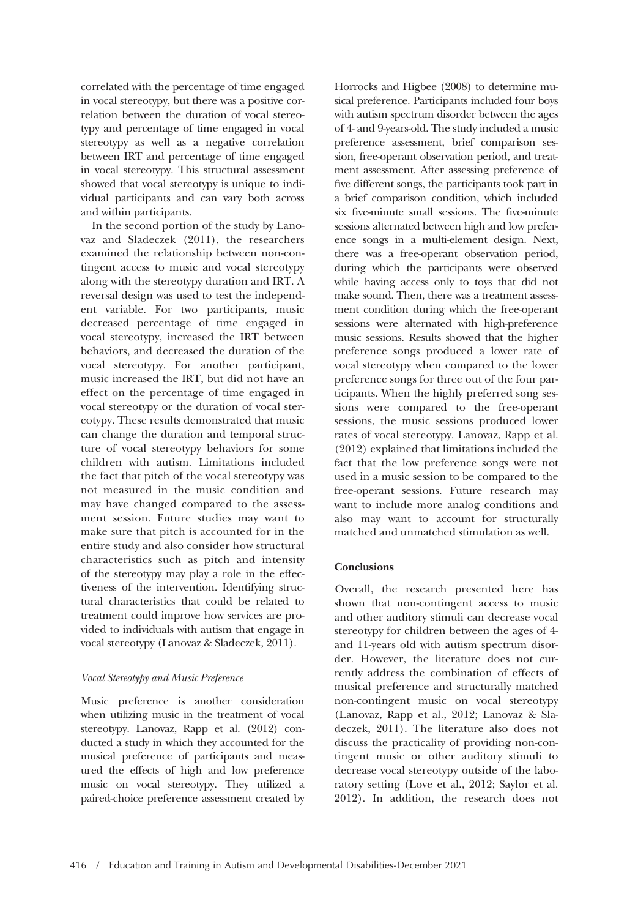correlated with the percentage of time engaged in vocal stereotypy, but there was a positive correlation between the duration of vocal stereotypy and percentage of time engaged in vocal stereotypy as well as a negative correlation between IRT and percentage of time engaged in vocal stereotypy. This structural assessment showed that vocal stereotypy is unique to individual participants and can vary both across and within participants.

In the second portion of the study by Lanovaz and Sladeczek (2011), the researchers examined the relationship between non-contingent access to music and vocal stereotypy along with the stereotypy duration and IRT. A reversal design was used to test the independent variable. For two participants, music decreased percentage of time engaged in vocal stereotypy, increased the IRT between behaviors, and decreased the duration of the vocal stereotypy. For another participant, music increased the IRT, but did not have an effect on the percentage of time engaged in vocal stereotypy or the duration of vocal stereotypy. These results demonstrated that music can change the duration and temporal structure of vocal stereotypy behaviors for some children with autism. Limitations included the fact that pitch of the vocal stereotypy was not measured in the music condition and may have changed compared to the assessment session. Future studies may want to make sure that pitch is accounted for in the entire study and also consider how structural characteristics such as pitch and intensity of the stereotypy may play a role in the effectiveness of the intervention. Identifying structural characteristics that could be related to treatment could improve how services are provided to individuals with autism that engage in vocal stereotypy (Lanovaz & Sladeczek, 2011).

## Vocal Stereotypy and Music Preference

Music preference is another consideration when utilizing music in the treatment of vocal stereotypy. Lanovaz, Rapp et al. (2012) conducted a study in which they accounted for the musical preference of participants and measured the effects of high and low preference music on vocal stereotypy. They utilized a paired-choice preference assessment created by Horrocks and Higbee (2008) to determine musical preference. Participants included four boys with autism spectrum disorder between the ages of 4- and 9-years-old. The study included a music preference assessment, brief comparison session, free-operant observation period, and treatment assessment. After assessing preference of five different songs, the participants took part in a brief comparison condition, which included six five-minute small sessions. The five-minute sessions alternated between high and low preference songs in a multi-element design. Next, there was a free-operant observation period, during which the participants were observed while having access only to toys that did not make sound. Then, there was a treatment assessment condition during which the free-operant sessions were alternated with high-preference music sessions. Results showed that the higher preference songs produced a lower rate of vocal stereotypy when compared to the lower preference songs for three out of the four participants. When the highly preferred song sessions were compared to the free-operant sessions, the music sessions produced lower rates of vocal stereotypy. Lanovaz, Rapp et al. (2012) explained that limitations included the fact that the low preference songs were not used in a music session to be compared to the free-operant sessions. Future research may want to include more analog conditions and also may want to account for structurally matched and unmatched stimulation as well.

## Conclusions

Overall, the research presented here has shown that non-contingent access to music and other auditory stimuli can decrease vocal stereotypy for children between the ages of 4 and 11-years old with autism spectrum disorder. However, the literature does not currently address the combination of effects of musical preference and structurally matched non-contingent music on vocal stereotypy (Lanovaz, Rapp et al., 2012; Lanovaz & Sladeczek, 2011). The literature also does not discuss the practicality of providing non-contingent music or other auditory stimuli to decrease vocal stereotypy outside of the laboratory setting (Love et al., 2012; Saylor et al. 2012). In addition, the research does not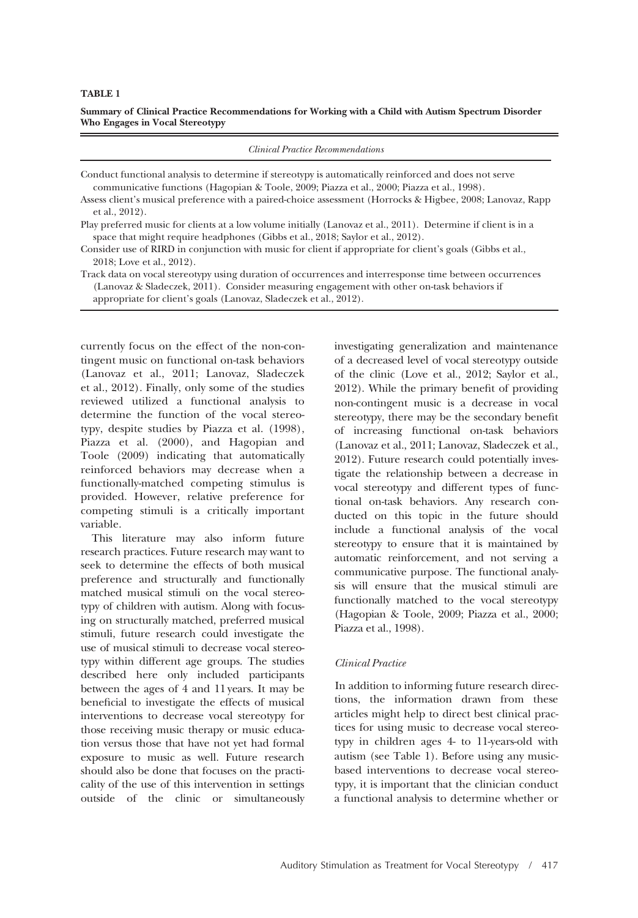TABLE 1

Summary of Clinical Practice Recommendations for Working with a Child with Autism Spectrum Disorder Who Engages in Vocal Stereotypy

| <b>Clinical Practice Recommendations</b>                                                                                                                                                                                                                                   |
|----------------------------------------------------------------------------------------------------------------------------------------------------------------------------------------------------------------------------------------------------------------------------|
| Conduct functional analysis to determine if stereotypy is automatically reinforced and does not serve<br>communicative functions (Hagopian & Toole, 2009; Piazza et al., 2000; Piazza et al., 1998).                                                                       |
| Assess client's musical preference with a paired-choice assessment (Horrocks & Higbee, 2008; Lanovaz, Rapp<br>et al., 2012).                                                                                                                                               |
| Play preferred music for clients at a low volume initially (Lanovaz et al., 2011). Determine if client is in a<br>space that might require headphones (Gibbs et al., 2018; Saylor et al., 2012).                                                                           |
| Consider use of RIRD in conjunction with music for client if appropriate for client's goals (Gibbs et al.,<br>2018; Love et al., 2012).                                                                                                                                    |
| Track data on vocal stereotypy using duration of occurrences and interresponse time between occurrences<br>(Lanovaz & Sladeczek, 2011). Consider measuring engagement with other on-task behaviors if<br>appropriate for client's goals (Lanovaz, Sladeczek et al., 2012). |

currently focus on the effect of the non-contingent music on functional on-task behaviors (Lanovaz et al., 2011; Lanovaz, Sladeczek et al., 2012). Finally, only some of the studies reviewed utilized a functional analysis to determine the function of the vocal stereotypy, despite studies by Piazza et al. (1998), Piazza et al. (2000), and Hagopian and Toole (2009) indicating that automatically reinforced behaviors may decrease when a functionally-matched competing stimulus is provided. However, relative preference for competing stimuli is a critically important variable.

This literature may also inform future research practices. Future research may want to seek to determine the effects of both musical preference and structurally and functionally matched musical stimuli on the vocal stereotypy of children with autism. Along with focusing on structurally matched, preferred musical stimuli, future research could investigate the use of musical stimuli to decrease vocal stereotypy within different age groups. The studies described here only included participants between the ages of 4 and 11 years. It may be beneficial to investigate the effects of musical interventions to decrease vocal stereotypy for those receiving music therapy or music education versus those that have not yet had formal exposure to music as well. Future research should also be done that focuses on the practicality of the use of this intervention in settings outside of the clinic or simultaneously investigating generalization and maintenance of a decreased level of vocal stereotypy outside of the clinic (Love et al., 2012; Saylor et al., 2012). While the primary benefit of providing non-contingent music is a decrease in vocal stereotypy, there may be the secondary benefit of increasing functional on-task behaviors (Lanovaz et al., 2011; Lanovaz, Sladeczek et al., 2012). Future research could potentially investigate the relationship between a decrease in vocal stereotypy and different types of functional on-task behaviors. Any research conducted on this topic in the future should include a functional analysis of the vocal stereotypy to ensure that it is maintained by automatic reinforcement, and not serving a communicative purpose. The functional analysis will ensure that the musical stimuli are functionally matched to the vocal stereotypy (Hagopian & Toole, 2009; Piazza et al., 2000; Piazza et al., 1998).

## Clinical Practice

In addition to informing future research directions, the information drawn from these articles might help to direct best clinical practices for using music to decrease vocal stereotypy in children ages 4- to 11-years-old with autism (see Table 1). Before using any musicbased interventions to decrease vocal stereotypy, it is important that the clinician conduct a functional analysis to determine whether or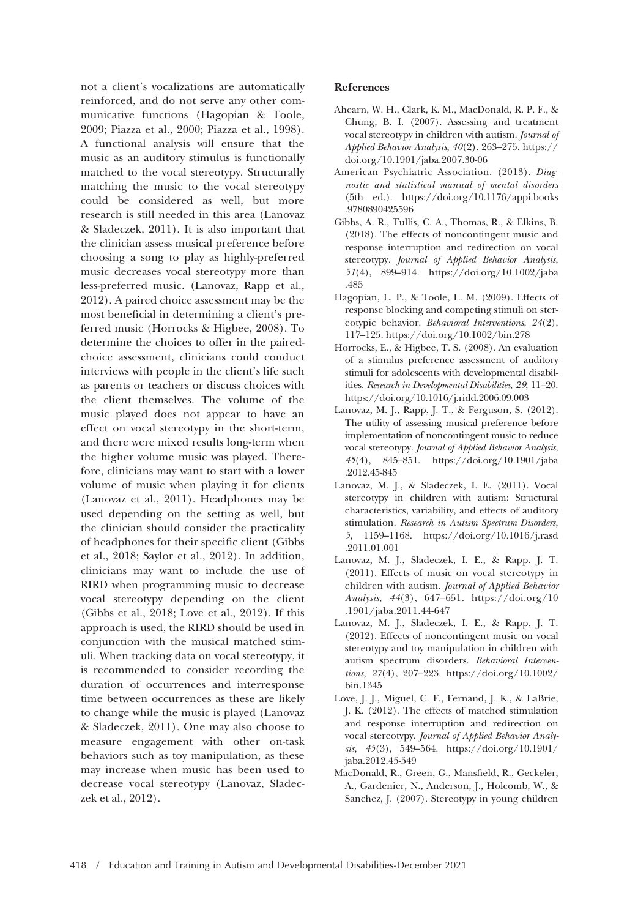not a client's vocalizations are automatically reinforced, and do not serve any other communicative functions (Hagopian & Toole, 2009; Piazza et al., 2000; Piazza et al., 1998). A functional analysis will ensure that the music as an auditory stimulus is functionally matched to the vocal stereotypy. Structurally matching the music to the vocal stereotypy could be considered as well, but more research is still needed in this area (Lanovaz & Sladeczek, 2011). It is also important that the clinician assess musical preference before choosing a song to play as highly-preferred music decreases vocal stereotypy more than less-preferred music. (Lanovaz, Rapp et al., 2012). A paired choice assessment may be the most beneficial in determining a client's preferred music (Horrocks & Higbee, 2008). To determine the choices to offer in the pairedchoice assessment, clinicians could conduct interviews with people in the client's life such as parents or teachers or discuss choices with the client themselves. The volume of the music played does not appear to have an effect on vocal stereotypy in the short-term, and there were mixed results long-term when the higher volume music was played. Therefore, clinicians may want to start with a lower volume of music when playing it for clients (Lanovaz et al., 2011). Headphones may be used depending on the setting as well, but the clinician should consider the practicality of headphones for their specific client (Gibbs et al., 2018; Saylor et al., 2012). In addition, clinicians may want to include the use of RIRD when programming music to decrease vocal stereotypy depending on the client (Gibbs et al., 2018; Love et al., 2012). If this approach is used, the RIRD should be used in conjunction with the musical matched stimuli. When tracking data on vocal stereotypy, it is recommended to consider recording the duration of occurrences and interresponse time between occurrences as these are likely to change while the music is played (Lanovaz & Sladeczek, 2011). One may also choose to measure engagement with other on-task behaviors such as toy manipulation, as these may increase when music has been used to decrease vocal stereotypy (Lanovaz, Sladeczek et al., 2012).

## References

- Ahearn, W. H., Clark, K. M., MacDonald, R. P. F., & Chung, B. I. (2007). Assessing and treatment vocal stereotypy in children with autism. Journal of Applied Behavior Analysis, 40(2), 263–275. https:// doi.org/10.1901/jaba.2007.30-06
- American Psychiatric Association. (2013). Diagnostic and statistical manual of mental disorders (5th ed.). https://doi.org/10.1176/appi.books .9780890425596
- Gibbs, A. R., Tullis, C. A., Thomas, R., & Elkins, B. (2018). The effects of noncontingent music and response interruption and redirection on vocal stereotypy. Journal of Applied Behavior Analysis, 51(4), 899–914. https://doi.org/10.1002/jaba .485
- Hagopian, L. P., & Toole, L. M. (2009). Effects of response blocking and competing stimuli on stereotypic behavior. Behavioral Interventions, 24(2), 117–125. https://doi.org/10.1002/bin.278
- Horrocks, E., & Higbee, T. S. (2008). An evaluation of a stimulus preference assessment of auditory stimuli for adolescents with developmental disabilities. Research in Developmental Disabilities, 29, 11–20. https://doi.org/10.1016/j.ridd.2006.09.003
- Lanovaz, M. J., Rapp, J. T., & Ferguson, S. (2012). The utility of assessing musical preference before implementation of noncontingent music to reduce vocal stereotypy. Journal of Applied Behavior Analysis, 45(4), 845–851. https://doi.org/10.1901/jaba .2012.45-845
- Lanovaz, M. J., & Sladeczek, I. E. (2011). Vocal stereotypy in children with autism: Structural characteristics, variability, and effects of auditory stimulation. Research in Autism Spectrum Disorders, 5, 1159–1168. https://doi.org/10.1016/j.rasd .2011.01.001
- Lanovaz, M. J., Sladeczek, I. E., & Rapp, J. T. (2011). Effects of music on vocal stereotypy in children with autism. Journal of Applied Behavior Analysis, 44(3), 647–651. https://doi.org/10 .1901/jaba.2011.44-647
- Lanovaz, M. J., Sladeczek, I. E., & Rapp, J. T. (2012). Effects of noncontingent music on vocal stereotypy and toy manipulation in children with autism spectrum disorders. Behavioral Interventions, 27(4), 207–223. https://doi.org/10.1002/ bin.1345
- Love, J. J., Miguel, C. F., Fernand, J. K., & LaBrie, J. K. (2012). The effects of matched stimulation and response interruption and redirection on vocal stereotypy. Journal of Applied Behavior Analysis, 45(3), 549–564. https://doi.org/10.1901/ jaba.2012.45-549
- MacDonald, R., Green, G., Mansfield, R., Geckeler, A., Gardenier, N., Anderson, J., Holcomb, W., & Sanchez, J. (2007). Stereotypy in young children